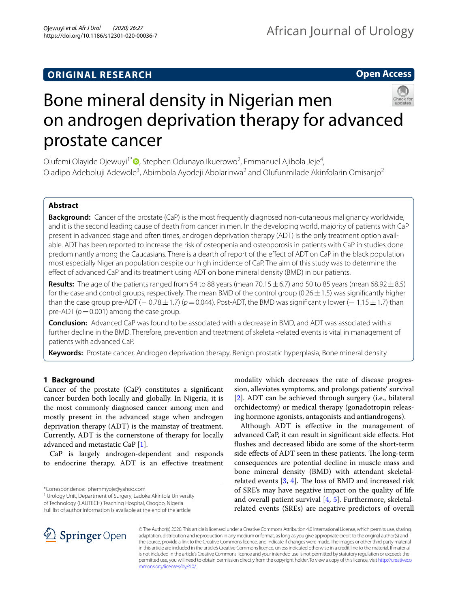# **ORIGINAL RESEARCH**

**Open Access**



# Bone mineral density in Nigerian men on androgen deprivation therapy for advanced prostate cancer

Olufemi Olayide Ojewuyi<sup>1\*</sup> (D[,](http://orcid.org/0000-0003-4429-6475) Stephen Odunayo Ikuerowo<sup>2</sup>, Emmanuel Ajibola Jeje<sup>4</sup>, Oladipo Adeboluji Adewole<sup>3</sup>, Abimbola Ayodeji Abolarinwa<sup>2</sup> and Olufunmilade Akinfolarin Omisanjo<sup>2</sup>

# **Abstract**

**Background:** Cancer of the prostate (CaP) is the most frequently diagnosed non-cutaneous malignancy worldwide, and it is the second leading cause of death from cancer in men. In the developing world, majority of patients with CaP present in advanced stage and often times, androgen deprivation therapy (ADT) is the only treatment option available. ADT has been reported to increase the risk of osteopenia and osteoporosis in patients with CaP in studies done predominantly among the Caucasians. There is a dearth of report of the efect of ADT on CaP in the black population most especially Nigerian population despite our high incidence of CaP. The aim of this study was to determine the efect of advanced CaP and its treatment using ADT on bone mineral density (BMD) in our patients.

**Results:** The age of the patients ranged from 54 to 88 years (mean 70.15 $\pm$ 6.7) and 50 to 85 years (mean 68.92 $\pm$ 8.5) for the case and control groups, respectively. The mean BMD of the control group ( $0.26 \pm 1.5$ ) was significantly higher than the case group pre-ADT ( $-$  0.78 $\pm$  1.7) ( $p$ =0.044). Post-ADT, the BMD was significantly lower ( $-$  1.15 $\pm$  1.7) than pre-ADT ( $p = 0.001$ ) among the case group.

**Conclusion:** Advanced CaP was found to be associated with a decrease in BMD, and ADT was associated with a further decline in the BMD. Therefore, prevention and treatment of skeletal-related events is vital in management of patients with advanced CaP.

**Keywords:** Prostate cancer, Androgen deprivation therapy, Benign prostatic hyperplasia, Bone mineral density

# **1 Background**

Cancer of the prostate (CaP) constitutes a signifcant cancer burden both locally and globally. In Nigeria, it is the most commonly diagnosed cancer among men and mostly present in the advanced stage when androgen deprivation therapy (ADT) is the mainstay of treatment. Currently, ADT is the cornerstone of therapy for locally advanced and metastatic CaP [\[1\]](#page-5-0).

CaP is largely androgen-dependent and responds to endocrine therapy. ADT is an efective treatment

\*Correspondence: phemmyoje@yahoo.com

<sup>1</sup> Urology Unit, Department of Surgery, Ladoke Akintola University of Technology (LAUTECH) Teaching Hospital, Osogbo, Nigeria

Full list of author information is available at the end of the article

modality which decreases the rate of disease progression, alleviates symptoms, and prolongs patients' survival [[2\]](#page-5-1). ADT can be achieved through surgery (i.e., bilateral orchidectomy) or medical therapy (gonadotropin releasing hormone agonists, antagonists and antiandrogens).

Although ADT is efective in the management of advanced CaP, it can result in signifcant side efects. Hot fushes and decreased libido are some of the short-term side effects of ADT seen in these patients. The long-term consequences are potential decline in muscle mass and bone mineral density (BMD) with attendant skeletalrelated events  $[3, 4]$  $[3, 4]$  $[3, 4]$  $[3, 4]$ . The loss of BMD and increased risk of SRE's may have negative impact on the quality of life and overall patient survival  $[4, 5]$  $[4, 5]$  $[4, 5]$  $[4, 5]$ . Furthermore, skeletalrelated events (SREs) are negative predictors of overall



© The Author(s) 2020. This article is licensed under a Creative Commons Attribution 4.0 International License, which permits use, sharing, adaptation, distribution and reproduction in any medium or format, as long as you give appropriate credit to the original author(s) and the source, provide a link to the Creative Commons licence, and indicate if changes were made. The images or other third party material in this article are included in the article's Creative Commons licence, unless indicated otherwise in a credit line to the material. If material is not included in the article's Creative Commons licence and your intended use is not permitted by statutory regulation or exceeds the permitted use, you will need to obtain permission directly from the copyright holder. To view a copy of this licence, visit [http://creativeco](http://creativecommons.org/licenses/by/4.0/) [mmons.org/licenses/by/4.0/.](http://creativecommons.org/licenses/by/4.0/)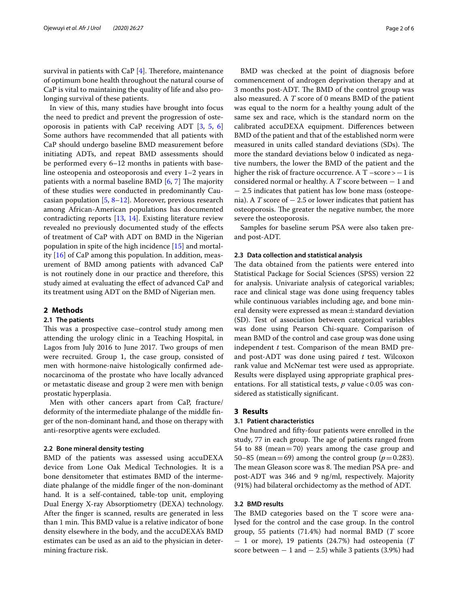survival in patients with CaP  $[4]$  $[4]$ . Therefore, maintenance of optimum bone health throughout the natural course of CaP is vital to maintaining the quality of life and also prolonging survival of these patients.

In view of this, many studies have brought into focus the need to predict and prevent the progression of osteoporosis in patients with CaP receiving ADT [\[3](#page-5-2), [5,](#page-5-4) [6](#page-5-5)] Some authors have recommended that all patients with CaP should undergo baseline BMD measurement before initiating ADTs, and repeat BMD assessments should be performed every 6–12 months in patients with baseline osteopenia and osteoporosis and every 1–2 years in patients with a normal baseline BMD  $[6, 7]$  $[6, 7]$  $[6, 7]$  The majority of these studies were conducted in predominantly Caucasian population  $[5, 8-12]$  $[5, 8-12]$  $[5, 8-12]$ . Moreover, previous research among African-American populations has documented contradicting reports [\[13](#page-5-9), [14\]](#page-5-10). Existing literature review revealed no previously documented study of the efects of treatment of CaP with ADT on BMD in the Nigerian population in spite of the high incidence [[15](#page-5-11)] and mortality [[16\]](#page-5-12) of CaP among this population. In addition, measurement of BMD among patients with advanced CaP is not routinely done in our practice and therefore, this study aimed at evaluating the efect of advanced CaP and its treatment using ADT on the BMD of Nigerian men.

# **2 Methods**

# **2.1 The patients**

This was a prospective case–control study among men attending the urology clinic in a Teaching Hospital, in Lagos from July 2016 to June 2017. Two groups of men were recruited. Group 1, the case group, consisted of men with hormone-naive histologically confrmed adenocarcinoma of the prostate who have locally advanced or metastatic disease and group 2 were men with benign prostatic hyperplasia.

Men with other cancers apart from CaP, fracture/ deformity of the intermediate phalange of the middle fnger of the non-dominant hand, and those on therapy with anti-resorptive agents were excluded.

# **2.2 Bone mineral density testing**

BMD of the patients was assessed using accuDEXA device from Lone Oak Medical Technologies. It is a bone densitometer that estimates BMD of the intermediate phalange of the middle fnger of the non-dominant hand. It is a self-contained, table-top unit, employing Dual Energy X-ray Absorptiometry (DEXA) technology. After the fnger is scanned, results are generated in less than 1 min. This BMD value is a relative indicator of bone density elsewhere in the body, and the accuDEXA's BMD estimates can be used as an aid to the physician in determining fracture risk.

BMD was checked at the point of diagnosis before commencement of androgen deprivation therapy and at 3 months post-ADT. The BMD of the control group was also measured. A *T* score of 0 means BMD of the patient was equal to the norm for a healthy young adult of the same sex and race, which is the standard norm on the calibrated accuDEXA equipment. Diferences between BMD of the patient and that of the established norm were measured in units called standard deviations (SDs). The more the standard deviations below 0 indicated as negative numbers, the lower the BMD of the patient and the higher the risk of fracture occurrence. A T –score>−1 is considered normal or healthy. A *T* score between − 1 and − 2.5 indicates that patient has low bone mass (osteopenia). A *T* score of  $-2.5$  or lower indicates that patient has osteoporosis. The greater the negative number, the more severe the osteoporosis.

Samples for baseline serum PSA were also taken preand post-ADT.

# **2.3 Data collection and statistical analysis**

The data obtained from the patients were entered into Statistical Package for Social Sciences (SPSS) version 22 for analysis. Univariate analysis of categorical variables; race and clinical stage was done using frequency tables while continuous variables including age, and bone mineral density were expressed as mean $\pm$ standard deviation (SD). Test of association between categorical variables was done using Pearson Chi-square. Comparison of mean BMD of the control and case group was done using independent *t* test. Comparison of the mean BMD preand post-ADT was done using paired *t* test. Wilcoxon rank value and McNemar test were used as appropriate. Results were displayed using appropriate graphical presentations. For all statistical tests, *p* value < 0.05 was considered as statistically signifcant.

# **3 Results**

## **3.1 Patient characteristics**

One hundred and ffty-four patients were enrolled in the study, 77 in each group. The age of patients ranged from 54 to 88 (mean=70) years among the case group and 50–85 (mean = 69) among the control group ( $p = 0.283$ ). The mean Gleason score was 8. The median PSA pre- and post-ADT was 346 and 9 ng/ml, respectively. Majority (91%) had bilateral orchidectomy as the method of ADT.

# **3.2 BMD results**

The BMD categories based on the  $T$  score were analysed for the control and the case group. In the control group, 55 patients (71.4%) had normal BMD (*T* score − 1 or more), 19 patients (24.7%) had osteopenia (*T* score between  $-1$  and  $-2.5$ ) while 3 patients (3.9%) had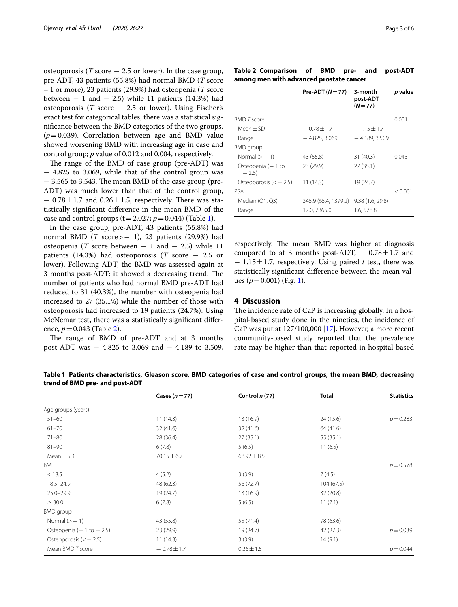osteoporosis ( $T$  score  $-2.5$  or lower). In the case group, pre-ADT, 43 patients (55.8%) had normal BMD (*T* score – 1 or more), 23 patients (29.9%) had osteopenia (*T* score between  $-1$  and  $-2.5$ ) while 11 patients (14.3%) had osteoporosis (*T* score − 2.5 or lower). Using Fischer's exact test for categorical tables, there was a statistical signifcance between the BMD categories of the two groups.  $(p=0.039)$ . Correlation between age and BMD value showed worsening BMD with increasing age in case and control group; *p* value of 0.012 and 0.004, respectively.

The range of the BMD of case group (pre-ADT) was − 4.825 to 3.069, while that of the control group was  $-$  3.565 to 3.543. The mean BMD of the case group (pre-ADT) was much lower than that of the control group,  $-0.78\pm1.7$  and  $0.26\pm1.5$ , respectively. There was statistically signifcant diference in the mean BMD of the case and control groups  $(t=2.027; p=0.044)$  (Table [1\)](#page-2-0).

In the case group, pre-ADT, 43 patients (55.8%) had normal BMD (*T* score>− 1), 23 patients (29.9%) had osteopenia (*T* score between  $-1$  and  $-2.5$ ) while 11 patients (14.3%) had osteoporosis (*T* score − 2.5 or lower). Following ADT, the BMD was assessed again at 3 months post-ADT; it showed a decreasing trend. The number of patients who had normal BMD pre-ADT had reduced to 31 (40.3%), the number with osteopenia had increased to 27 (35.1%) while the number of those with osteoporosis had increased to 19 patients (24.7%). Using McNemar test, there was a statistically signifcant diference, *p*=0.043 (Table [2](#page-2-1)).

The range of BMD of pre-ADT and at 3 months post-ADT was − 4.825 to 3.069 and − 4.189 to 3.509,

<span id="page-2-1"></span>

| Table 2 Comparison of BMD pre- and post-ADT |  |  |  |  |  |  |  |  |
|---------------------------------------------|--|--|--|--|--|--|--|--|
| among men with advanced prostate cancer     |  |  |  |  |  |  |  |  |

|                              | $Pre-ADT (N=77)$     | 3-month<br>post-ADT<br>$(N=77)$ | p value |
|------------------------------|----------------------|---------------------------------|---------|
| <b>BMD T score</b>           |                      |                                 | 0.001   |
| Mean $\pm$ SD                | $-0.78 \pm 1.7$      | $-1.15 \pm 1.7$                 |         |
| Range                        | $-4.825, 3.069$      | $-4.189, 3.509$                 |         |
| <b>BMD</b> group             |                      |                                 |         |
| Normal $(>-1)$               | 43 (55.8)            | 31(40.3)                        | 0.043   |
| Osteopenia (- 1 to<br>$-2.5$ | 23 (29.9)            | 27(35.1)                        |         |
| Osteoporosis $(<$ - 2.5)     | 11(14.3)             | 19 (24.7)                       |         |
| PSA                          |                      |                                 | < 0.001 |
| Median (Q1, Q3)              | 345.9 (65.4, 1399.2) | 9.38(1.6, 29.8)                 |         |
| Range                        | 17.0, 7865.0         | 1.6, 578.8                      |         |

respectively. The mean BMD was higher at diagnosis compared to at 3 months post-ADT,  $-0.78 \pm 1.7$  and − 1.15±1.7, respectively. Using paired *t* test, there was statistically signifcant diference between the mean values  $(p=0.001)$  $(p=0.001)$  (Fig. 1).

# **4 Discussion**

The incidence rate of CaP is increasing globally. In a hospital-based study done in the nineties, the incidence of CaP was put at  $127/100,000$  [[17](#page-5-13)]. However, a more recent community-based study reported that the prevalence rate may be higher than that reported in hospital-based

<span id="page-2-0"></span>**Table 1 Patients characteristics, Gleason score, BMD categories of case and control groups, the mean BMD, decreasing trend of BMD pre- and post-ADT**

|                             | Cases $(n=77)$  | Control $n(77)$ | <b>Total</b> | <b>Statistics</b> |
|-----------------------------|-----------------|-----------------|--------------|-------------------|
| Age groups (years)          |                 |                 |              |                   |
| $51 - 60$                   | 11(14.3)        | 13 (16.9)       | 24 (15.6)    | $p = 0.283$       |
| $61 - 70$                   | 32(41.6)        | 32(41.6)        | 64 (41.6)    |                   |
| $71 - 80$                   | 28 (36.4)       | 27(35.1)        | 55 (35.1)    |                   |
| $81 - 90$                   | 6(7.8)          | 5(6.5)          | 11(6.5)      |                   |
| $Mean \pm SD$               | $70.15 \pm 6.7$ | $68.92 \pm 8.5$ |              |                   |
| BMI                         |                 |                 |              | $p = 0.578$       |
| < 18.5                      | 4(5.2)          | 3(3.9)          | 7(4.5)       |                   |
| $18.5 - 24.9$               | 48 (62.3)       | 56 (72.7)       | 104(67.5)    |                   |
| $25.0 - 29.9$               | 19 (24.7)       | 13(16.9)        | 32 (20.8)    |                   |
| $\geq$ 30.0                 | 6(7.8)          | 5(6.5)          | 11(7.1)      |                   |
| <b>BMD</b> group            |                 |                 |              |                   |
| Normal $(>-1)$              | 43 (55.8)       | 55 (71.4)       | 98 (63.6)    |                   |
| Osteopenia $(-1$ to $-2.5)$ | 23(29.9)        | 19 (24.7)       | 42 (27.3)    | $p = 0.039$       |
| Osteoporosis $(<$ - 2.5)    | 11(14.3)        | 3(3.9)          | 14(9.1)      |                   |
| Mean BMD T score            | $-0.78 \pm 1.7$ | $0.26 \pm 1.5$  |              | $p = 0.044$       |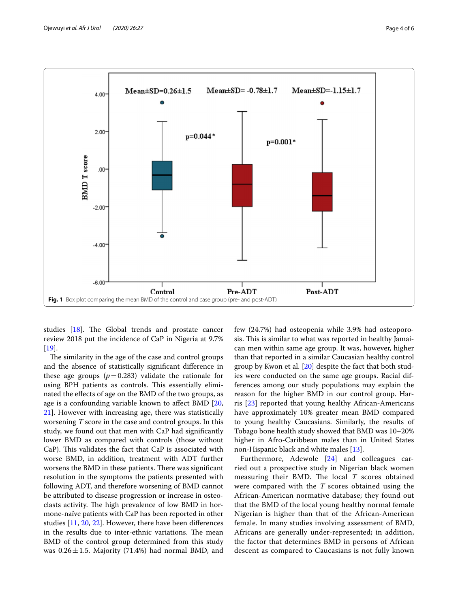

<span id="page-3-0"></span>studies [[18](#page-5-14)]. The Global trends and prostate cancer review 2018 put the incidence of CaP in Nigeria at 9.7% [[19\]](#page-5-15).

The similarity in the age of the case and control groups and the absence of statistically signifcant diference in these age groups  $(p=0.283)$  validate the rationale for using BPH patients as controls. This essentially eliminated the efects of age on the BMD of the two groups, as age is a confounding variable known to afect BMD [\[20](#page-5-16), [21\]](#page-5-17). However with increasing age, there was statistically worsening *T* score in the case and control groups. In this study, we found out that men with CaP had signifcantly lower BMD as compared with controls (those without CaP). This validates the fact that CaP is associated with worse BMD, in addition, treatment with ADT further worsens the BMD in these patients. There was significant resolution in the symptoms the patients presented with following ADT, and therefore worsening of BMD cannot be attributed to disease progression or increase in osteoclasts activity. The high prevalence of low BMD in hormone-naïve patients with CaP has been reported in other studies [[11,](#page-5-18) [20](#page-5-16), [22\]](#page-5-19). However, there have been diferences in the results due to inter-ethnic variations. The mean BMD of the control group determined from this study was  $0.26 \pm 1.5$ . Majority (71.4%) had normal BMD, and few (24.7%) had osteopenia while 3.9% had osteoporosis. This is similar to what was reported in healthy Jamaican men within same age group. It was, however, higher than that reported in a similar Caucasian healthy control group by Kwon et al. [[20\]](#page-5-16) despite the fact that both studies were conducted on the same age groups. Racial differences among our study populations may explain the reason for the higher BMD in our control group. Harris [[23\]](#page-5-20) reported that young healthy African-Americans have approximately 10% greater mean BMD compared to young healthy Caucasians. Similarly, the results of Tobago bone health study showed that BMD was 10–20% higher in Afro-Caribbean males than in United States non-Hispanic black and white males [\[13](#page-5-9)].

Furthermore, Adewole [\[24\]](#page-5-21) and colleagues carried out a prospective study in Nigerian black women measuring their BMD. The local  $T$  scores obtained were compared with the *T* scores obtained using the African-American normative database; they found out that the BMD of the local young healthy normal female Nigerian is higher than that of the African-American female. In many studies involving assessment of BMD, Africans are generally under-represented; in addition, the factor that determines BMD in persons of African descent as compared to Caucasians is not fully known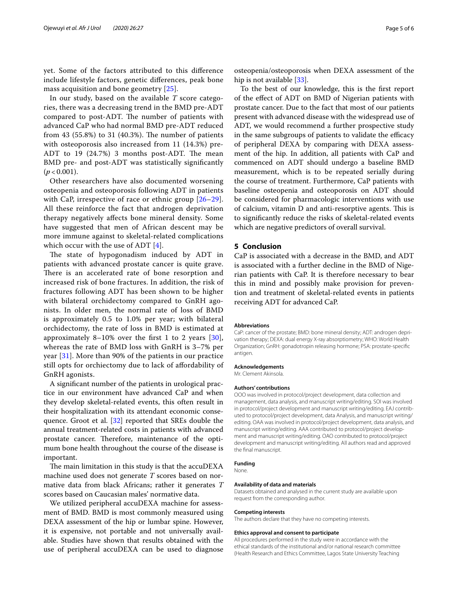yet. Some of the factors attributed to this diference include lifestyle factors, genetic diferences, peak bone mass acquisition and bone geometry [\[25](#page-5-22)].

In our study, based on the available *T* score categories, there was a decreasing trend in the BMD pre-ADT compared to post-ADT. The number of patients with advanced CaP who had normal BMD pre-ADT reduced from 43  $(55.8\%)$  to 31  $(40.3\%)$ . The number of patients with osteoporosis also increased from 11 (14.3%) pre-ADT to  $19$   $(24.7%)$  3 months post-ADT. The mean BMD pre- and post-ADT was statistically signifcantly  $(p < 0.001)$ .

Other researchers have also documented worsening osteopenia and osteoporosis following ADT in patients with CaP, irrespective of race or ethnic group  $[26-29]$  $[26-29]$ . All these reinforce the fact that androgen deprivation therapy negatively afects bone mineral density. Some have suggested that men of African descent may be more immune against to skeletal-related complications which occur with the use of ADT [\[4](#page-5-3)].

The state of hypogonadism induced by ADT in patients with advanced prostate cancer is quite grave. There is an accelerated rate of bone resorption and increased risk of bone fractures. In addition, the risk of fractures following ADT has been shown to be higher with bilateral orchidectomy compared to GnRH agonists. In older men, the normal rate of loss of BMD is approximately 0.5 to 1.0% per year; with bilateral orchidectomy, the rate of loss in BMD is estimated at approximately 8–10% over the first 1 to 2 years  $[30]$  $[30]$ , whereas the rate of BMD loss with GnRH is 3–7% per year [\[31](#page-5-26)]. More than 90% of the patients in our practice still opts for orchiectomy due to lack of afordability of GnRH agonists.

A signifcant number of the patients in urological practice in our environment have advanced CaP and when they develop skeletal-related events, this often result in their hospitalization with its attendant economic consequence. Groot et al. [[32\]](#page-5-27) reported that SREs double the annual treatment-related costs in patients with advanced prostate cancer. Therefore, maintenance of the optimum bone health throughout the course of the disease is important.

The main limitation in this study is that the accuDEXA machine used does not generate *T* scores based on normative data from black Africans; rather it generates *T* scores based on Caucasian males' normative data.

We utilized peripheral accuDEXA machine for assessment of BMD. BMD is most commonly measured using DEXA assessment of the hip or lumbar spine. However, it is expensive, not portable and not universally available. Studies have shown that results obtained with the use of peripheral accuDEXA can be used to diagnose

osteopenia/osteoporosis when DEXA assessment of the hip is not available [[33\]](#page-5-28).

To the best of our knowledge, this is the frst report of the efect of ADT on BMD of Nigerian patients with prostate cancer. Due to the fact that most of our patients present with advanced disease with the widespread use of ADT, we would recommend a further prospective study in the same subgroups of patients to validate the efficacy of peripheral DEXA by comparing with DEXA assessment of the hip. In addition, all patients with CaP and commenced on ADT should undergo a baseline BMD measurement, which is to be repeated serially during the course of treatment. Furthermore, CaP patients with baseline osteopenia and osteoporosis on ADT should be considered for pharmacologic interventions with use of calcium, vitamin D and anti-resorptive agents. This is to signifcantly reduce the risks of skeletal-related events which are negative predictors of overall survival.

# **5 Conclusion**

CaP is associated with a decrease in the BMD, and ADT is associated with a further decline in the BMD of Nigerian patients with CaP. It is therefore necessary to bear this in mind and possibly make provision for prevention and treatment of skeletal-related events in patients receiving ADT for advanced CaP.

#### **Abbreviations**

CaP: cancer of the prostate; BMD: bone mineral density; ADT: androgen deprivation therapy; DEXA: dual energy X-ray absorptiometry; WHO: World Health Organization; GnRH: gonadotropin releasing hormone; PSA: prostate-specifc antigen.

#### **Acknowledgements**

Mr. Clement Akinsola.

#### **Authors' contributions**

OOO was involved in protocol/project development, data collection and management, data analysis, and manuscript writing/editing. SOI was involved in protocol/project development and manuscript writing/editing. EAJ contributed to protocol/project development, data Analysis, and manuscript writing/ editing. OAA was involved in protocol/project development, data analysis, and manuscript writing/editing. AAA contributed to protocol/project development and manuscript writing/editing. OAO contributed to protocol/project development and manuscript writing/editing. All authors read and approved the fnal manuscript.

# **Funding**

None.

#### **Availability of data and materials**

Datasets obtained and analysed in the current study are available upon request from the corresponding author.

#### **Competing interests**

The authors declare that they have no competing interests.

#### **Ethics approval and consent to participate**

All procedures performed in the study were in accordance with the ethical standards of the institutional and/or national research committee (Health Research and Ethics Committee, Lagos State University Teaching